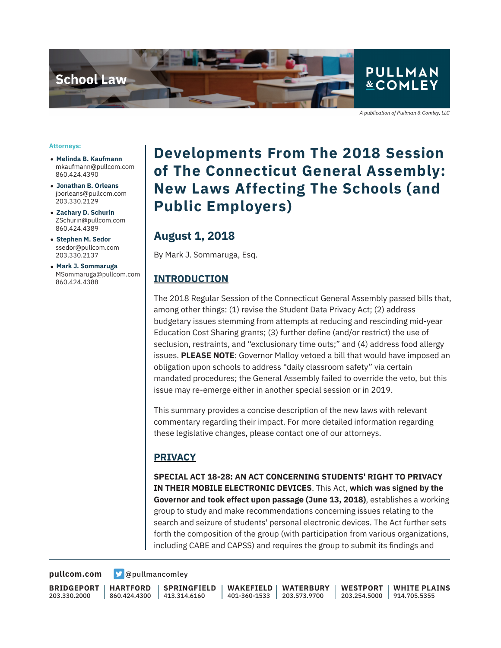

A publication of Pullman & Comley, LLC

#### **Attorneys:**

- **Melinda B. Kaufmann** mkaufmann@pullcom.com 860.424.4390
- **Jonathan B. Orleans** jborleans@pullcom.com 203.330.2129
- **Zachary D. Schurin** ZSchurin@pullcom.com 860.424.4389
- **Stephen M. Sedor** ssedor@pullcom.com 203.330.2137
- **Mark J. Sommaruga** MSommaruga@pullcom.com 860.424.4388

## **Developments From The 2018 Session of The Connecticut General Assembly: New Laws Affecting The Schools (and Public Employers)**

### **August 1, 2018**

By Mark J. Sommaruga, Esq.

#### **INTRODUCTION**

The 2018 Regular Session of the Connecticut General Assembly passed bills that, among other things: (1) revise the Student Data Privacy Act; (2) address budgetary issues stemming from attempts at reducing and rescinding mid-year Education Cost Sharing grants; (3) further define (and/or restrict) the use of seclusion, restraints, and "exclusionary time outs;" and (4) address food allergy issues. **PLEASE NOTE**: Governor Malloy vetoed a bill that would have imposed an obligation upon schools to address "daily classroom safety" via certain mandated procedures; the General Assembly failed to override the veto, but this issue may re-emerge either in another special session or in 2019.

This summary provides a concise description of the new laws with relevant commentary regarding their impact. For more detailed information regarding these legislative changes, please contact one of our attorneys.

#### **PRIVACY**

**SPECIAL ACT 18-28: AN ACT CONCERNING STUDENTS' RIGHT TO PRIVACY IN THEIR MOBILE ELECTRONIC DEVICES**. This Act, **which was signed by the Governor and took effect upon passage (June 13, 2018)**, establishes a working group to study and make recommendations concerning issues relating to the search and seizure of students' personal electronic devices. The Act further sets forth the composition of the group (with participation from various organizations, including CABE and CAPSS) and requires the group to submit its findings and

[pullcom.com](https://www.pullcom.com) **D** [@pullmancomley](https://twitter.com/PullmanComley)

**BRIDGEPORT** 203.330.2000

**HARTFORD** 860.424.4300

**SPRINGFIELD** 413.314.6160

**WAKEFIELD** 401-360-1533 203.573.9700 **WATERBURY WESTPORT**

203.254.5000 914.705.5355 **WHITE PLAINS**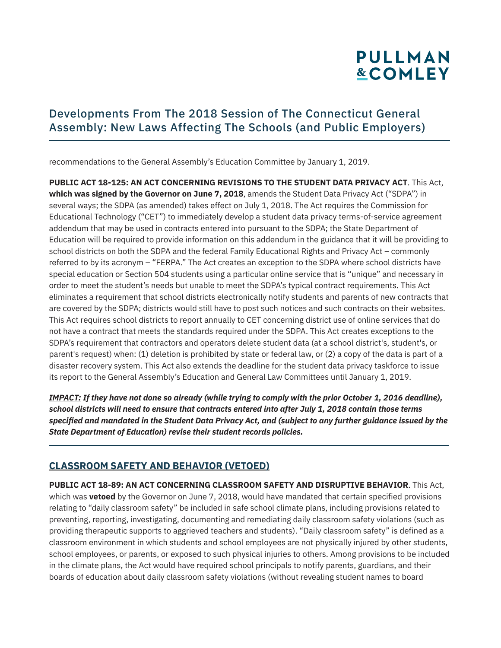## Developments From The 2018 Session of The Connecticut General Assembly: New Laws Affecting The Schools (and Public Employers)

recommendations to the General Assembly's Education Committee by January 1, 2019.

**PUBLIC ACT 18-125: AN ACT CONCERNING REVISIONS TO THE STUDENT DATA PRIVACY ACT**. This Act, **which was signed by the Governor on June 7, 2018**, amends the Student Data Privacy Act ("SDPA") in several ways; the SDPA (as amended) takes effect on July 1, 2018. The Act requires the Commission for Educational Technology ("CET") to immediately develop a student data privacy terms-of-service agreement addendum that may be used in contracts entered into pursuant to the SDPA; the State Department of Education will be required to provide information on this addendum in the guidance that it will be providing to school districts on both the SDPA and the federal Family Educational Rights and Privacy Act – commonly referred to by its acronym – "FERPA." The Act creates an exception to the SDPA where school districts have special education or Section 504 students using a particular online service that is "unique" and necessary in order to meet the student's needs but unable to meet the SDPA's typical contract requirements. This Act eliminates a requirement that school districts electronically notify students and parents of new contracts that are covered by the SDPA; districts would still have to post such notices and such contracts on their websites. This Act requires school districts to report annually to CET concerning district use of online services that do not have a contract that meets the standards required under the SDPA. This Act creates exceptions to the SDPA's requirement that contractors and operators delete student data (at a school district's, student's, or parent's request) when: (1) deletion is prohibited by state or federal law, or (2) a copy of the data is part of a disaster recovery system. This Act also extends the deadline for the student data privacy taskforce to issue its report to the General Assembly's Education and General Law Committees until January 1, 2019.

*IMPACT: If they have not done so already (while trying to comply with the prior October 1, 2016 deadline), school districts will need to ensure that contracts entered into after July 1, 2018 contain those terms specified and mandated in the Student Data Privacy Act, and (subject to any further guidance issued by the State Department of Education) revise their student records policies.*

### **CLASSROOM SAFETY AND BEHAVIOR (VETOED)**

l

**PUBLIC ACT 18-89: AN ACT CONCERNING CLASSROOM SAFETY AND DISRUPTIVE BEHAVIOR**. This Act, which was **vetoed** by the Governor on June 7, 2018, would have mandated that certain specified provisions relating to "daily classroom safety" be included in safe school climate plans, including provisions related to preventing, reporting, investigating, documenting and remediating daily classroom safety violations (such as providing therapeutic supports to aggrieved teachers and students). "Daily classroom safety" is defined as a classroom environment in which students and school employees are not physically injured by other students, school employees, or parents, or exposed to such physical injuries to others. Among provisions to be included in the climate plans, the Act would have required school principals to notify parents, guardians, and their boards of education about daily classroom safety violations (without revealing student names to board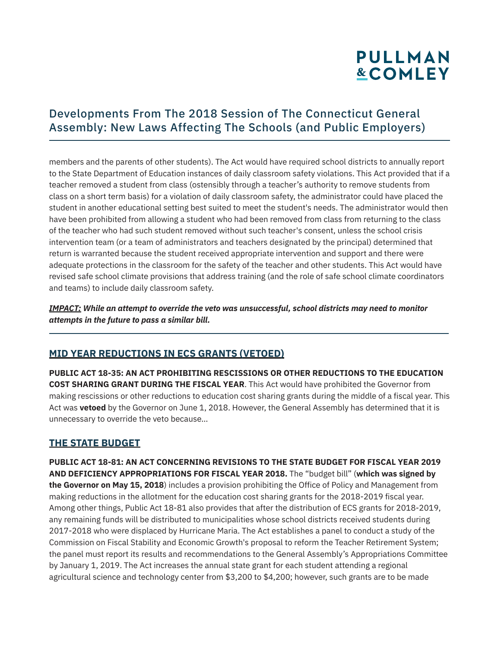## Developments From The 2018 Session of The Connecticut General Assembly: New Laws Affecting The Schools (and Public Employers)

members and the parents of other students). The Act would have required school districts to annually report to the State Department of Education instances of daily classroom safety violations. This Act provided that if a teacher removed a student from class (ostensibly through a teacher's authority to remove students from class on a short term basis) for a violation of daily classroom safety, the administrator could have placed the student in another educational setting best suited to meet the student's needs. The administrator would then have been prohibited from allowing a student who had been removed from class from returning to the class of the teacher who had such student removed without such teacher's consent, unless the school crisis intervention team (or a team of administrators and teachers designated by the principal) determined that return is warranted because the student received appropriate intervention and support and there were adequate protections in the classroom for the safety of the teacher and other students. This Act would have revised safe school climate provisions that address training (and the role of safe school climate coordinators and teams) to include daily classroom safety.

*IMPACT: While an attempt to override the veto was unsuccessful, school districts may need to monitor attempts in the future to pass a similar bill.* 

### **MID YEAR REDUCTIONS IN ECS GRANTS (VETOED)**

**PUBLIC ACT 18-35: AN ACT PROHIBITING RESCISSIONS OR OTHER REDUCTIONS TO THE EDUCATION COST SHARING GRANT DURING THE FISCAL YEAR**. This Act would have prohibited the Governor from making rescissions or other reductions to education cost sharing grants during the middle of a fiscal year. This Act was **vetoed** by the Governor on June 1, 2018. However, the General Assembly has determined that it is unnecessary to override the veto because…

### **THE STATE BUDGET**

l

**PUBLIC ACT 18-81: AN ACT CONCERNING REVISIONS TO THE STATE BUDGET FOR FISCAL YEAR 2019 AND DEFICIENCY APPROPRIATIONS FOR FISCAL YEAR 2018.** The "budget bill" (**which was signed by the Governor on May 15, 2018**) includes a provision prohibiting the Office of Policy and Management from making reductions in the allotment for the education cost sharing grants for the 2018-2019 fiscal year. Among other things, Public Act 18-81 also provides that after the distribution of ECS grants for 2018-2019, any remaining funds will be distributed to municipalities whose school districts received students during 2017-2018 who were displaced by Hurricane Maria. The Act establishes a panel to conduct a study of the Commission on Fiscal Stability and Economic Growth's proposal to reform the Teacher Retirement System; the panel must report its results and recommendations to the General Assembly's Appropriations Committee by January 1, 2019. The Act increases the annual state grant for each student attending a regional agricultural science and technology center from \$3,200 to \$4,200; however, such grants are to be made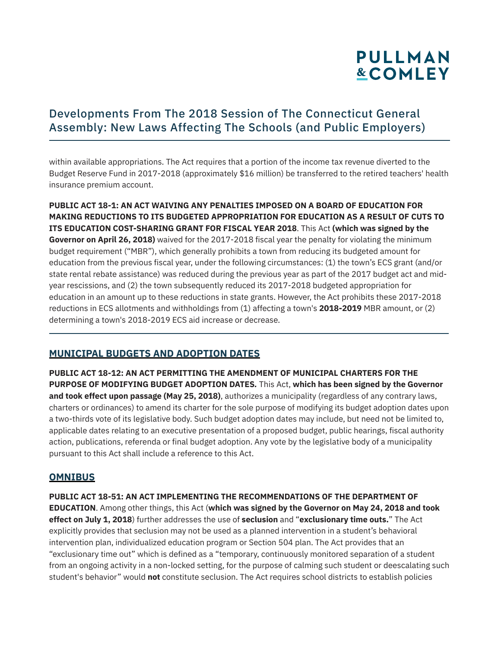## Developments From The 2018 Session of The Connecticut General Assembly: New Laws Affecting The Schools (and Public Employers)

within available appropriations. The Act requires that a portion of the income tax revenue diverted to the Budget Reserve Fund in 2017-2018 (approximately \$16 million) be transferred to the retired teachers' health insurance premium account.

**PUBLIC ACT 18-1: AN ACT WAIVING ANY PENALTIES IMPOSED ON A BOARD OF EDUCATION FOR MAKING REDUCTIONS TO ITS BUDGETED APPROPRIATION FOR EDUCATION AS A RESULT OF CUTS TO ITS EDUCATION COST-SHARING GRANT FOR FISCAL YEAR 2018**. This Act **(which was signed by the Governor on April 26, 2018)** waived for the 2017-2018 fiscal year the penalty for violating the minimum budget requirement ("MBR"), which generally prohibits a town from reducing its budgeted amount for education from the previous fiscal year, under the following circumstances: (1) the town's ECS grant (and/or state rental rebate assistance) was reduced during the previous year as part of the 2017 budget act and midyear rescissions, and (2) the town subsequently reduced its 2017-2018 budgeted appropriation for education in an amount up to these reductions in state grants. However, the Act prohibits these 2017-2018 reductions in ECS allotments and withholdings from (1) affecting a town's **2018-2019** MBR amount, or (2) determining a town's 2018-2019 ECS aid increase or decrease.

### **MUNICIPAL BUDGETS AND ADOPTION DATES**

**PUBLIC ACT 18-12: AN ACT PERMITTING THE AMENDMENT OF MUNICIPAL CHARTERS FOR THE PURPOSE OF MODIFYING BUDGET ADOPTION DATES***.* This Act, **which has been signed by the Governor and took effect upon passage (May 25, 2018)**, authorizes a municipality (regardless of any contrary laws, charters or ordinances) to amend its charter for the sole purpose of modifying its budget adoption dates upon a two-thirds vote of its legislative body. Such budget adoption dates may include, but need not be limited to, applicable dates relating to an executive presentation of a proposed budget, public hearings, fiscal authority action, publications, referenda or final budget adoption. Any vote by the legislative body of a municipality pursuant to this Act shall include a reference to this Act.

### **OMNIBUS**

l

**PUBLIC ACT 18-51: AN ACT IMPLEMENTING THE RECOMMENDATIONS OF THE DEPARTMENT OF EDUCATION**. Among other things, this Act (**which was signed by the Governor on May 24, 2018 and took effect on July 1, 2018**) further addresses the use of **seclusion** and "**exclusionary time outs.**" The Act explicitly provides that seclusion may not be used as a planned intervention in a student's behavioral intervention plan, individualized education program or Section 504 plan. The Act provides that an "exclusionary time out" which is defined as a "temporary, continuously monitored separation of a student from an ongoing activity in a non-locked setting, for the purpose of calming such student or deescalating such student's behavior" would **not** constitute seclusion. The Act requires school districts to establish policies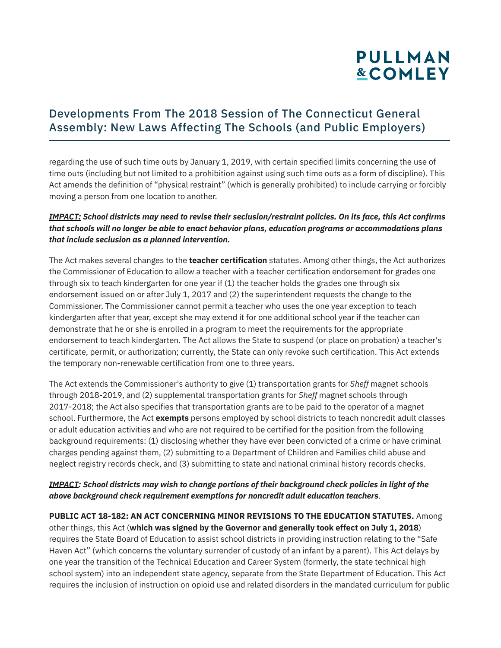## Developments From The 2018 Session of The Connecticut General Assembly: New Laws Affecting The Schools (and Public Employers)

regarding the use of such time outs by January 1, 2019, with certain specified limits concerning the use of time outs (including but not limited to a prohibition against using such time outs as a form of discipline). This Act amends the definition of "physical restraint" (which is generally prohibited) to include carrying or forcibly moving a person from one location to another.

#### *IMPACT: School districts may need to revise their seclusion/restraint policies. On its face, this Act confirms that schools will no longer be able to enact behavior plans, education programs or accommodations plans that include seclusion as a planned intervention.*

The Act makes several changes to the **teacher certification** statutes. Among other things, the Act authorizes the Commissioner of Education to allow a teacher with a teacher certification endorsement for grades one through six to teach kindergarten for one year if (1) the teacher holds the grades one through six endorsement issued on or after July 1, 2017 and (2) the superintendent requests the change to the Commissioner. The Commissioner cannot permit a teacher who uses the one year exception to teach kindergarten after that year, except she may extend it for one additional school year if the teacher can demonstrate that he or she is enrolled in a program to meet the requirements for the appropriate endorsement to teach kindergarten. The Act allows the State to suspend (or place on probation) a teacher's certificate, permit, or authorization; currently, the State can only revoke such certification. This Act extends the temporary non-renewable certification from one to three years.

The Act extends the Commissioner's authority to give (1) transportation grants for *Sheff* magnet schools through 2018-2019, and (2) supplemental transportation grants for *Sheff* magnet schools through 2017-2018; the Act also specifies that transportation grants are to be paid to the operator of a magnet school. Furthermore, the Act **exempts** persons employed by school districts to teach noncredit adult classes or adult education activities and who are not required to be certified for the position from the following background requirements: (1) disclosing whether they have ever been convicted of a crime or have criminal charges pending against them, (2) submitting to a Department of Children and Families child abuse and neglect registry records check, and (3) submitting to state and national criminal history records checks.

#### *IMPACT: School districts may wish to change portions of their background check policies in light of the above background check requirement exemptions for noncredit adult education teachers*.

**PUBLIC ACT 18-182: AN ACT CONCERNING MINOR REVISIONS TO THE EDUCATION STATUTES.** Among other things, this Act (**which was signed by the Governor and generally took effect on July 1, 2018**) requires the State Board of Education to assist school districts in providing instruction relating to the "Safe Haven Act" (which concerns the voluntary surrender of custody of an infant by a parent). This Act delays by one year the transition of the Technical Education and Career System (formerly, the state technical high school system) into an independent state agency, separate from the State Department of Education. This Act requires the inclusion of instruction on opioid use and related disorders in the mandated curriculum for public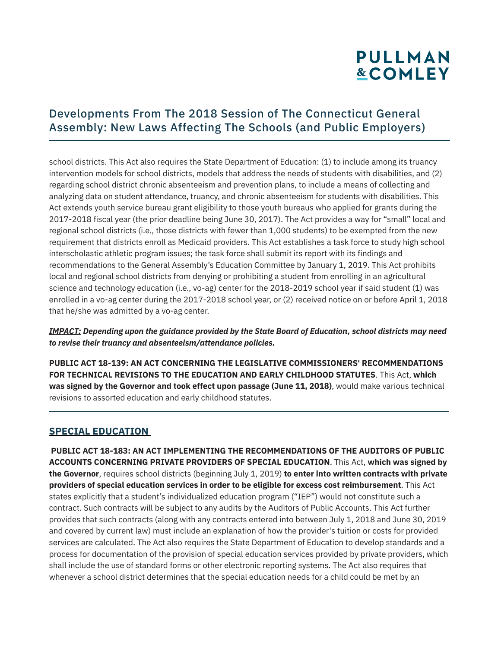## Developments From The 2018 Session of The Connecticut General Assembly: New Laws Affecting The Schools (and Public Employers)

school districts. This Act also requires the State Department of Education: (1) to include among its truancy intervention models for school districts, models that address the needs of students with disabilities, and (2) regarding school district chronic absenteeism and prevention plans, to include a means of collecting and analyzing data on student attendance, truancy, and chronic absenteeism for students with disabilities. This Act extends youth service bureau grant eligibility to those youth bureaus who applied for grants during the 2017-2018 fiscal year (the prior deadline being June 30, 2017). The Act provides a way for "small" local and regional school districts (i.e., those districts with fewer than 1,000 students) to be exempted from the new requirement that districts enroll as Medicaid providers. This Act establishes a task force to study high school interscholastic athletic program issues; the task force shall submit its report with its findings and recommendations to the General Assembly's Education Committee by January 1, 2019. This Act prohibits local and regional school districts from denying or prohibiting a student from enrolling in an agricultural science and technology education (i.e., vo-ag) center for the 2018-2019 school year if said student (1) was enrolled in a vo-ag center during the 2017-2018 school year, or (2) received notice on or before April 1, 2018 that he/she was admitted by a vo-ag center.

*IMPACT: Depending upon the guidance provided by the State Board of Education, school districts may need to revise their truancy and absenteeism/attendance policies.*

**PUBLIC ACT 18-139: AN ACT CONCERNING THE LEGISLATIVE COMMISSIONERS' RECOMMENDATIONS FOR TECHNICAL REVISIONS TO THE EDUCATION AND EARLY CHILDHOOD STATUTES**. This Act, **which was signed by the Governor and took effect upon passage (June 11, 2018)**, would make various technical revisions to assorted education and early childhood statutes.

#### **SPECIAL EDUCATION**

l

**PUBLIC ACT 18-183: AN ACT IMPLEMENTING THE RECOMMENDATIONS OF THE AUDITORS OF PUBLIC ACCOUNTS CONCERNING PRIVATE PROVIDERS OF SPECIAL EDUCATION**. This Act, **which was signed by the Governor**, requires school districts (beginning July 1, 2019) **to enter into written contracts with private providers of special education services in order to be eligible for excess cost reimbursement**. This Act states explicitly that a student's individualized education program ("IEP") would not constitute such a contract. Such contracts will be subject to any audits by the Auditors of Public Accounts. This Act further provides that such contracts (along with any contracts entered into between July 1, 2018 and June 30, 2019 and covered by current law) must include an explanation of how the provider's tuition or costs for provided services are calculated. The Act also requires the State Department of Education to develop standards and a process for documentation of the provision of special education services provided by private providers, which shall include the use of standard forms or other electronic reporting systems. The Act also requires that whenever a school district determines that the special education needs for a child could be met by an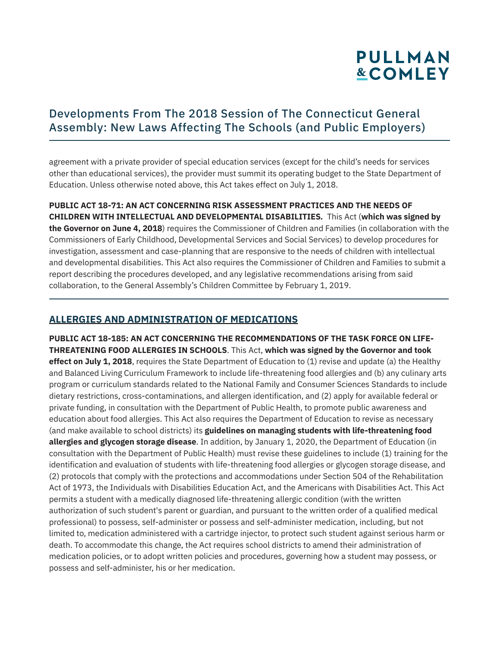## Developments From The 2018 Session of The Connecticut General Assembly: New Laws Affecting The Schools (and Public Employers)

agreement with a private provider of special education services (except for the child's needs for services other than educational services), the provider must summit its operating budget to the State Department of Education. Unless otherwise noted above, this Act takes effect on July 1, 2018.

**PUBLIC ACT 18-71: AN ACT CONCERNING RISK ASSESSMENT PRACTICES AND THE NEEDS OF CHILDREN WITH INTELLECTUAL AND DEVELOPMENTAL DISABILITIES***.* This Act (**which was signed by the Governor on June 4, 2018**) requires the Commissioner of Children and Families (in collaboration with the Commissioners of Early Childhood, Developmental Services and Social Services) to develop procedures for investigation, assessment and case-planning that are responsive to the needs of children with intellectual and developmental disabilities. This Act also requires the Commissioner of Children and Families to submit a report describing the procedures developed, and any legislative recommendations arising from said collaboration, to the General Assembly's Children Committee by February 1, 2019.

### **ALLERGIES AND ADMINISTRATION OF MEDICATIONS**

l

**PUBLIC ACT 18-185: AN ACT CONCERNING THE RECOMMENDATIONS OF THE TASK FORCE ON LIFE-THREATENING FOOD ALLERGIES IN SCHOOLS**. This Act, **which was signed by the Governor and took effect on July 1, 2018**, requires the State Department of Education to (1) revise and update (a) the Healthy and Balanced Living Curriculum Framework to include life-threatening food allergies and (b) any culinary arts program or curriculum standards related to the National Family and Consumer Sciences Standards to include dietary restrictions, cross-contaminations, and allergen identification, and (2) apply for available federal or private funding, in consultation with the Department of Public Health, to promote public awareness and education about food allergies. This Act also requires the Department of Education to revise as necessary (and make available to school districts) its **guidelines on managing students with life-threatening food allergies and glycogen storage disease**. In addition, by January 1, 2020, the Department of Education (in consultation with the Department of Public Health) must revise these guidelines to include (1) training for the identification and evaluation of students with life-threatening food allergies or glycogen storage disease, and (2) protocols that comply with the protections and accommodations under Section 504 of the Rehabilitation Act of 1973, the Individuals with Disabilities Education Act, and the Americans with Disabilities Act. This Act permits a student with a medically diagnosed life-threatening allergic condition (with the written authorization of such student's parent or guardian, and pursuant to the written order of a qualified medical professional) to possess, self-administer or possess and self-administer medication, including, but not limited to, medication administered with a cartridge injector, to protect such student against serious harm or death. To accommodate this change, the Act requires school districts to amend their administration of medication policies, or to adopt written policies and procedures, governing how a student may possess, or possess and self-administer, his or her medication.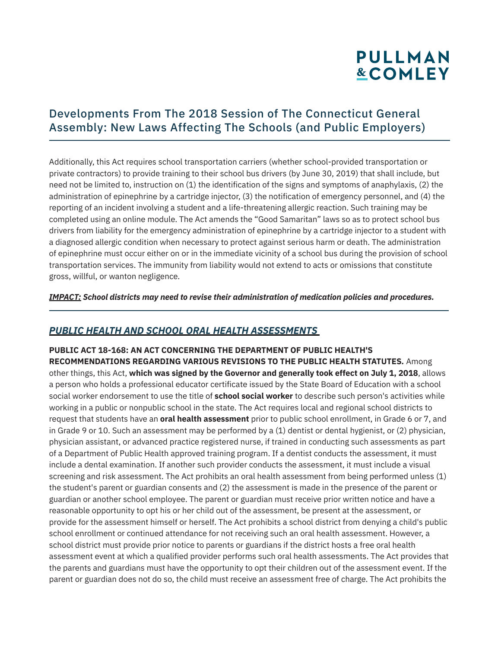## Developments From The 2018 Session of The Connecticut General Assembly: New Laws Affecting The Schools (and Public Employers)

Additionally, this Act requires school transportation carriers (whether school-provided transportation or private contractors) to provide training to their school bus drivers (by June 30, 2019) that shall include, but need not be limited to, instruction on (1) the identification of the signs and symptoms of anaphylaxis, (2) the administration of epinephrine by a cartridge injector, (3) the notification of emergency personnel, and (4) the reporting of an incident involving a student and a life-threatening allergic reaction. Such training may be completed using an online module. The Act amends the "Good Samaritan" laws so as to protect school bus drivers from liability for the emergency administration of epinephrine by a cartridge injector to a student with a diagnosed allergic condition when necessary to protect against serious harm or death. The administration of epinephrine must occur either on or in the immediate vicinity of a school bus during the provision of school transportation services. The immunity from liability would not extend to acts or omissions that constitute gross, willful, or wanton negligence.

*IMPACT: School districts may need to revise their administration of medication policies and procedures.*

### *PUBLIC HEALTH AND SCHOOL ORAL HEALTH ASSESSMENTS*

l

**PUBLIC ACT 18-168: AN ACT CONCERNING THE DEPARTMENT OF PUBLIC HEALTH'S RECOMMENDATIONS REGARDING VARIOUS REVISIONS TO THE PUBLIC HEALTH STATUTES***.* Among other things, this Act, **which was signed by the Governor and generally took effect on July 1, 2018**, allows a person who holds a professional educator certificate issued by the State Board of Education with a school social worker endorsement to use the title of **school social worker** to describe such person's activities while working in a public or nonpublic school in the state. The Act requires local and regional school districts to request that students have an **oral health assessment** prior to public school enrollment, in Grade 6 or 7, and in Grade 9 or 10. Such an assessment may be performed by a (1) dentist or dental hygienist, or (2) physician, physician assistant, or advanced practice registered nurse, if trained in conducting such assessments as part of a Department of Public Health approved training program. If a dentist conducts the assessment, it must include a dental examination. If another such provider conducts the assessment, it must include a visual screening and risk assessment. The Act prohibits an oral health assessment from being performed unless (1) the student's parent or guardian consents and (2) the assessment is made in the presence of the parent or guardian or another school employee. The parent or guardian must receive prior written notice and have a reasonable opportunity to opt his or her child out of the assessment, be present at the assessment, or provide for the assessment himself or herself. The Act prohibits a school district from denying a child's public school enrollment or continued attendance for not receiving such an oral health assessment. However, a school district must provide prior notice to parents or guardians if the district hosts a free oral health assessment event at which a qualified provider performs such oral health assessments. The Act provides that the parents and guardians must have the opportunity to opt their children out of the assessment event. If the parent or guardian does not do so, the child must receive an assessment free of charge. The Act prohibits the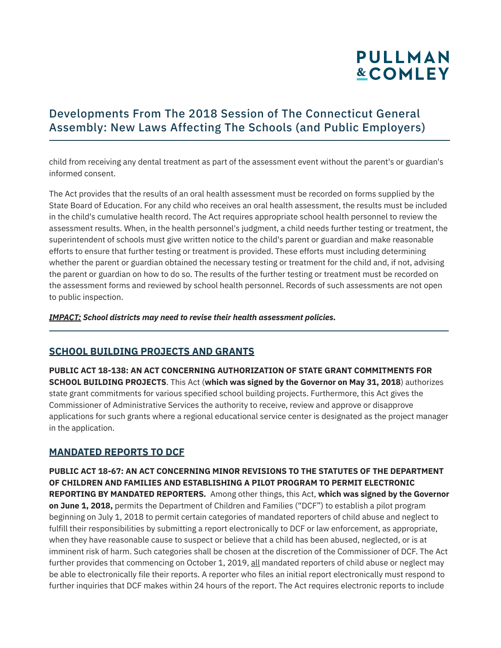## Developments From The 2018 Session of The Connecticut General Assembly: New Laws Affecting The Schools (and Public Employers)

child from receiving any dental treatment as part of the assessment event without the parent's or guardian's informed consent.

The Act provides that the results of an oral health assessment must be recorded on forms supplied by the State Board of Education. For any child who receives an oral health assessment, the results must be included in the child's cumulative health record. The Act requires appropriate school health personnel to review the assessment results. When, in the health personnel's judgment, a child needs further testing or treatment, the superintendent of schools must give written notice to the child's parent or guardian and make reasonable efforts to ensure that further testing or treatment is provided. These efforts must including determining whether the parent or guardian obtained the necessary testing or treatment for the child and, if not, advising the parent or guardian on how to do so. The results of the further testing or treatment must be recorded on the assessment forms and reviewed by school health personnel. Records of such assessments are not open to public inspection.

*IMPACT: School districts may need to revise their health assessment policies.*

#### **SCHOOL BUILDING PROJECTS AND GRANTS**

**PUBLIC ACT 18-138: AN ACT CONCERNING AUTHORIZATION OF STATE GRANT COMMITMENTS FOR SCHOOL BUILDING PROJECTS**. This Act (**which was signed by the Governor on May 31, 2018**) authorizes state grant commitments for various specified school building projects. Furthermore, this Act gives the Commissioner of Administrative Services the authority to receive, review and approve or disapprove applications for such grants where a regional educational service center is designated as the project manager in the application.

#### **MANDATED REPORTS TO DCF**

l

**PUBLIC ACT 18-67: AN ACT CONCERNING MINOR REVISIONS TO THE STATUTES OF THE DEPARTMENT OF CHILDREN AND FAMILIES AND ESTABLISHING A PILOT PROGRAM TO PERMIT ELECTRONIC REPORTING BY MANDATED REPORTERS***.* Among other things, this Act, **which was signed by the Governor on June 1, 2018,** permits the Department of Children and Families ("DCF") to establish a pilot program beginning on July 1, 2018 to permit certain categories of mandated reporters of child abuse and neglect to fulfill their responsibilities by submitting a report electronically to DCF or law enforcement, as appropriate, when they have reasonable cause to suspect or believe that a child has been abused, neglected, or is at imminent risk of harm. Such categories shall be chosen at the discretion of the Commissioner of DCF. The Act further provides that commencing on October 1, 2019, all mandated reporters of child abuse or neglect may be able to electronically file their reports. A reporter who files an initial report electronically must respond to further inquiries that DCF makes within 24 hours of the report. The Act requires electronic reports to include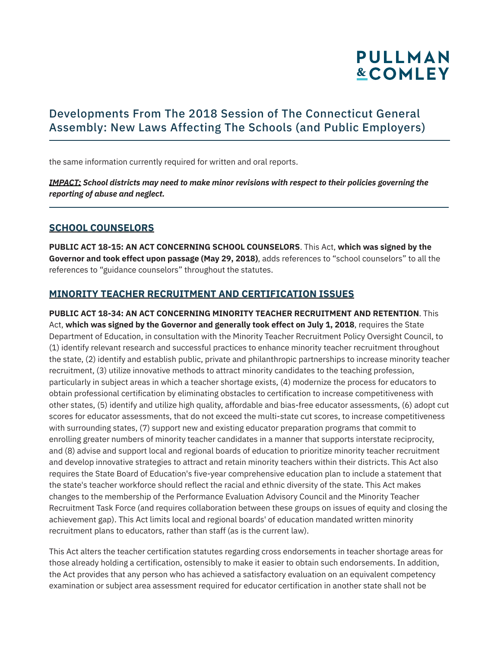

## Developments From The 2018 Session of The Connecticut General Assembly: New Laws Affecting The Schools (and Public Employers)

the same information currently required for written and oral reports.

*IMPACT: School districts may need to make minor revisions with respect to their policies governing the reporting of abuse and neglect.* 

#### **SCHOOL COUNSELORS**

l

**PUBLIC ACT 18-15: AN ACT CONCERNING SCHOOL COUNSELORS**. This Act, **which was signed by the Governor and took effect upon passage (May 29, 2018)**, adds references to "school counselors" to all the references to "guidance counselors" throughout the statutes.

#### **MINORITY TEACHER RECRUITMENT AND CERTIFICATION ISSUES**

**PUBLIC ACT 18-34: AN ACT CONCERNING MINORITY TEACHER RECRUITMENT AND RETENTION**. This Act, **which was signed by the Governor and generally took effect on July 1, 2018**, requires the State Department of Education, in consultation with the Minority Teacher Recruitment Policy Oversight Council, to (1) identify relevant research and successful practices to enhance minority teacher recruitment throughout the state, (2) identify and establish public, private and philanthropic partnerships to increase minority teacher recruitment, (3) utilize innovative methods to attract minority candidates to the teaching profession, particularly in subject areas in which a teacher shortage exists, (4) modernize the process for educators to obtain professional certification by eliminating obstacles to certification to increase competitiveness with other states, (5) identify and utilize high quality, affordable and bias-free educator assessments, (6) adopt cut scores for educator assessments, that do not exceed the multi-state cut scores, to increase competitiveness with surrounding states, (7) support new and existing educator preparation programs that commit to enrolling greater numbers of minority teacher candidates in a manner that supports interstate reciprocity, and (8) advise and support local and regional boards of education to prioritize minority teacher recruitment and develop innovative strategies to attract and retain minority teachers within their districts. This Act also requires the State Board of Education's five-year comprehensive education plan to include a statement that the state's teacher workforce should reflect the racial and ethnic diversity of the state. This Act makes changes to the membership of the Performance Evaluation Advisory Council and the Minority Teacher Recruitment Task Force (and requires collaboration between these groups on issues of equity and closing the achievement gap). This Act limits local and regional boards' of education mandated written minority recruitment plans to educators, rather than staff (as is the current law).

This Act alters the teacher certification statutes regarding cross endorsements in teacher shortage areas for those already holding a certification, ostensibly to make it easier to obtain such endorsements. In addition, the Act provides that any person who has achieved a satisfactory evaluation on an equivalent competency examination or subject area assessment required for educator certification in another state shall not be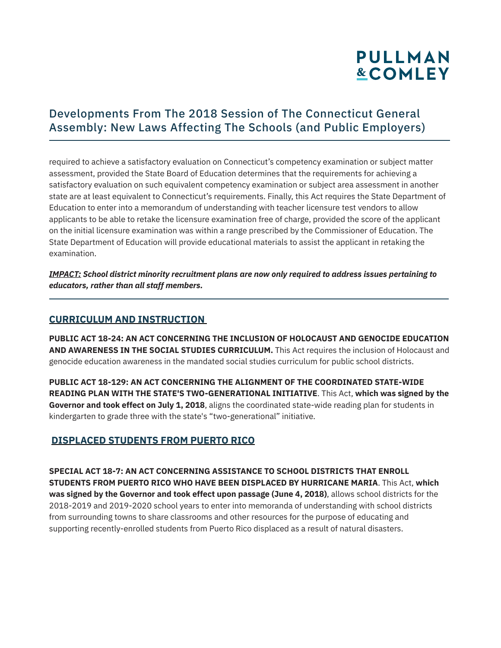## Developments From The 2018 Session of The Connecticut General Assembly: New Laws Affecting The Schools (and Public Employers)

required to achieve a satisfactory evaluation on Connecticut's competency examination or subject matter assessment, provided the State Board of Education determines that the requirements for achieving a satisfactory evaluation on such equivalent competency examination or subject area assessment in another state are at least equivalent to Connecticut's requirements. Finally, this Act requires the State Department of Education to enter into a memorandum of understanding with teacher licensure test vendors to allow applicants to be able to retake the licensure examination free of charge, provided the score of the applicant on the initial licensure examination was within a range prescribed by the Commissioner of Education. The State Department of Education will provide educational materials to assist the applicant in retaking the examination.

*IMPACT: School district minority recruitment plans are now only required to address issues pertaining to educators, rather than all staff members.* 

#### **CURRICULUM AND INSTRUCTION**

l

**PUBLIC ACT 18-24: AN ACT CONCERNING THE INCLUSION OF HOLOCAUST AND GENOCIDE EDUCATION AND AWARENESS IN THE SOCIAL STUDIES CURRICULUM.** This Act requires the inclusion of Holocaust and genocide education awareness in the mandated social studies curriculum for public school districts.

**PUBLIC ACT 18-129: AN ACT CONCERNING THE ALIGNMENT OF THE COORDINATED STATE-WIDE READING PLAN WITH THE STATE'S TWO-GENERATIONAL INITIATIVE**. This Act, **which was signed by the Governor and took effect on July 1, 2018**, aligns the coordinated state-wide reading plan for students in kindergarten to grade three with the state's "two-generational" initiative.

### **DISPLACED STUDENTS FROM PUERTO RICO**

**SPECIAL ACT 18-7: AN ACT CONCERNING ASSISTANCE TO SCHOOL DISTRICTS THAT ENROLL STUDENTS FROM PUERTO RICO WHO HAVE BEEN DISPLACED BY HURRICANE MARIA**. This Act, **which was signed by the Governor and took effect upon passage (June 4, 2018)**, allows school districts for the 2018-2019 and 2019-2020 school years to enter into memoranda of understanding with school districts from surrounding towns to share classrooms and other resources for the purpose of educating and supporting recently-enrolled students from Puerto Rico displaced as a result of natural disasters.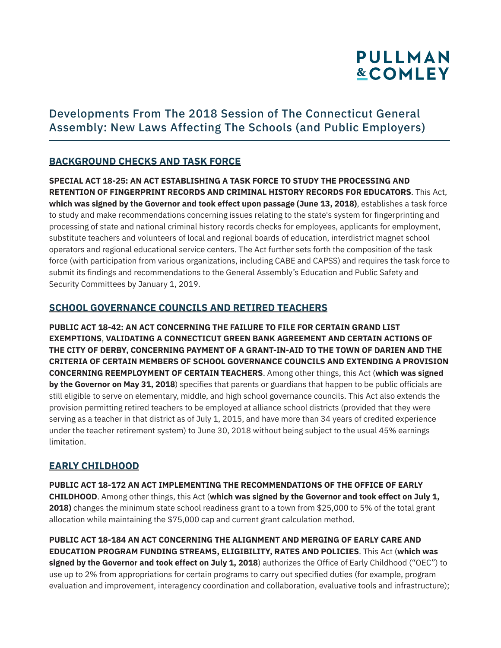## Developments From The 2018 Session of The Connecticut General Assembly: New Laws Affecting The Schools (and Public Employers)

### **BACKGROUND CHECKS AND TASK FORCE**

**SPECIAL ACT 18-25: AN ACT ESTABLISHING A TASK FORCE TO STUDY THE PROCESSING AND RETENTION OF FINGERPRINT RECORDS AND CRIMINAL HISTORY RECORDS FOR EDUCATORS**. This Act, **which was signed by the Governor and took effect upon passage (June 13, 2018)**, establishes a task force to study and make recommendations concerning issues relating to the state's system for fingerprinting and processing of state and national criminal history records checks for employees, applicants for employment, substitute teachers and volunteers of local and regional boards of education, interdistrict magnet school operators and regional educational service centers. The Act further sets forth the composition of the task force (with participation from various organizations, including CABE and CAPSS) and requires the task force to submit its findings and recommendations to the General Assembly's Education and Public Safety and Security Committees by January 1, 2019.

### **SCHOOL GOVERNANCE COUNCILS AND RETIRED TEACHERS**

**PUBLIC ACT 18-42: AN ACT CONCERNING THE FAILURE TO FILE FOR CERTAIN GRAND LIST EXEMPTIONS**, **VALIDATING A CONNECTICUT GREEN BANK AGREEMENT AND CERTAIN ACTIONS OF THE CITY OF DERBY, CONCERNING PAYMENT OF A GRANT-IN-AID TO THE TOWN OF DARIEN AND THE CRITERIA OF CERTAIN MEMBERS OF SCHOOL GOVERNANCE COUNCILS AND EXTENDING A PROVISION CONCERNING REEMPLOYMENT OF CERTAIN TEACHERS**. Among other things, this Act (**which was signed by the Governor on May 31, 2018**) specifies that parents or guardians that happen to be public officials are still eligible to serve on elementary, middle, and high school governance councils. This Act also extends the provision permitting retired teachers to be employed at alliance school districts (provided that they were serving as a teacher in that district as of July 1, 2015, and have more than 34 years of credited experience under the teacher retirement system) to June 30, 2018 without being subject to the usual 45% earnings limitation.

### **EARLY CHILDHOOD**

**PUBLIC ACT 18-172 AN ACT IMPLEMENTING THE RECOMMENDATIONS OF THE OFFICE OF EARLY CHILDHOOD**. Among other things, this Act (**which was signed by the Governor and took effect on July 1, 2018)** changes the minimum state school readiness grant to a town from \$25,000 to 5% of the total grant allocation while maintaining the \$75,000 cap and current grant calculation method.

**PUBLIC ACT 18-184 AN ACT CONCERNING THE ALIGNMENT AND MERGING OF EARLY CARE AND EDUCATION PROGRAM FUNDING STREAMS, ELIGIBILITY, RATES AND POLICIES**. This Act (**which was signed by the Governor and took effect on July 1, 2018**) authorizes the Office of Early Childhood ("OEC") to use up to 2% from appropriations for certain programs to carry out specified duties (for example, program evaluation and improvement, interagency coordination and collaboration, evaluative tools and infrastructure);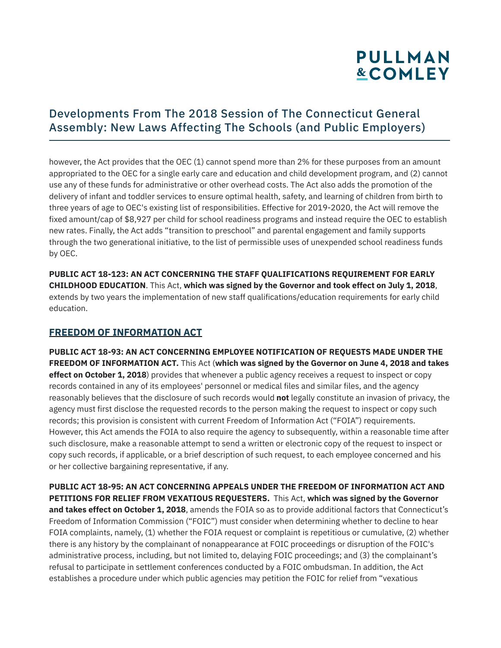## Developments From The 2018 Session of The Connecticut General Assembly: New Laws Affecting The Schools (and Public Employers)

however, the Act provides that the OEC (1) cannot spend more than 2% for these purposes from an amount appropriated to the OEC for a single early care and education and child development program, and (2) cannot use any of these funds for administrative or other overhead costs. The Act also adds the promotion of the delivery of infant and toddler services to ensure optimal health, safety, and learning of children from birth to three years of age to OEC's existing list of responsibilities. Effective for 2019-2020, the Act will remove the fixed amount/cap of \$8,927 per child for school readiness programs and instead require the OEC to establish new rates. Finally, the Act adds "transition to preschool" and parental engagement and family supports through the two generational initiative, to the list of permissible uses of unexpended school readiness funds by OEC.

**PUBLIC ACT 18-123: AN ACT CONCERNING THE STAFF QUALIFICATIONS REQUIREMENT FOR EARLY CHILDHOOD EDUCATION**. This Act, **which was signed by the Governor and took effect on July 1, 2018**, extends by two years the implementation of new staff qualifications/education requirements for early child education.

### **FREEDOM OF INFORMATION ACT**

**PUBLIC ACT 18-93: AN ACT CONCERNING EMPLOYEE NOTIFICATION OF REQUESTS MADE UNDER THE FREEDOM OF INFORMATION ACT***.* This Act (**which was signed by the Governor on June 4, 2018 and takes effect on October 1, 2018**) provides that whenever a public agency receives a request to inspect or copy records contained in any of its employees' personnel or medical files and similar files, and the agency reasonably believes that the disclosure of such records would **not** legally constitute an invasion of privacy, the agency must first disclose the requested records to the person making the request to inspect or copy such records; this provision is consistent with current Freedom of Information Act ("FOIA") requirements. However, this Act amends the FOIA to also require the agency to subsequently, within a reasonable time after such disclosure, make a reasonable attempt to send a written or electronic copy of the request to inspect or copy such records, if applicable, or a brief description of such request, to each employee concerned and his or her collective bargaining representative, if any.

**PUBLIC ACT 18-95: AN ACT CONCERNING APPEALS UNDER THE FREEDOM OF INFORMATION ACT AND PETITIONS FOR RELIEF FROM VEXATIOUS REQUESTERS.** This Act, **which was signed by the Governor and takes effect on October 1, 2018**, amends the FOIA so as to provide additional factors that Connecticut's Freedom of Information Commission ("FOIC") must consider when determining whether to decline to hear FOIA complaints, namely, (1) whether the FOIA request or complaint is repetitious or cumulative, (2) whether there is any history by the complainant of nonappearance at FOIC proceedings or disruption of the FOIC's administrative process, including, but not limited to, delaying FOIC proceedings; and (3) the complainant's refusal to participate in settlement conferences conducted by a FOIC ombudsman. In addition, the Act establishes a procedure under which public agencies may petition the FOIC for relief from "vexatious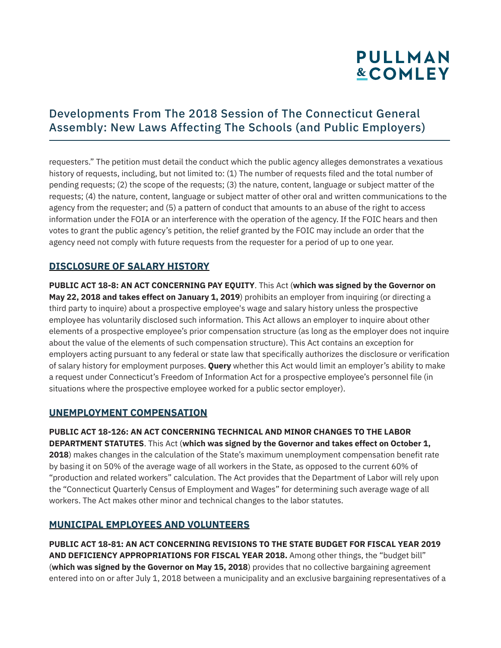## Developments From The 2018 Session of The Connecticut General Assembly: New Laws Affecting The Schools (and Public Employers)

requesters." The petition must detail the conduct which the public agency alleges demonstrates a vexatious history of requests, including, but not limited to: (1) The number of requests filed and the total number of pending requests; (2) the scope of the requests; (3) the nature, content, language or subject matter of the requests; (4) the nature, content, language or subject matter of other oral and written communications to the agency from the requester; and (5) a pattern of conduct that amounts to an abuse of the right to access information under the FOIA or an interference with the operation of the agency. If the FOIC hears and then votes to grant the public agency's petition, the relief granted by the FOIC may include an order that the agency need not comply with future requests from the requester for a period of up to one year.

### **DISCLOSURE OF SALARY HISTORY**

**PUBLIC ACT 18-8: AN ACT CONCERNING PAY EQUITY**. This Act (**which was signed by the Governor on May 22, 2018 and takes effect on January 1, 2019**) prohibits an employer from inquiring (or directing a third party to inquire) about a prospective employee's wage and salary history unless the prospective employee has voluntarily disclosed such information. This Act allows an employer to inquire about other elements of a prospective employee's prior compensation structure (as long as the employer does not inquire about the value of the elements of such compensation structure). This Act contains an exception for employers acting pursuant to any federal or state law that specifically authorizes the disclosure or verification of salary history for employment purposes. **Query** whether this Act would limit an employer's ability to make a request under Connecticut's Freedom of Information Act for a prospective employee's personnel file (in situations where the prospective employee worked for a public sector employer).

### **UNEMPLOYMENT COMPENSATION**

**PUBLIC ACT 18-126: AN ACT CONCERNING TECHNICAL AND MINOR CHANGES TO THE LABOR DEPARTMENT STATUTES**. This Act (**which was signed by the Governor and takes effect on October 1, 2018**) makes changes in the calculation of the State's maximum unemployment compensation benefit rate by basing it on 50% of the average wage of all workers in the State, as opposed to the current 60% of "production and related workers" calculation. The Act provides that the Department of Labor will rely upon the "Connecticut Quarterly Census of Employment and Wages" for determining such average wage of all workers. The Act makes other minor and technical changes to the labor statutes.

#### **MUNICIPAL EMPLOYEES AND VOLUNTEERS**

**PUBLIC ACT 18-81: AN ACT CONCERNING REVISIONS TO THE STATE BUDGET FOR FISCAL YEAR 2019 AND DEFICIENCY APPROPRIATIONS FOR FISCAL YEAR 2018.** Among other things, the "budget bill" (**which was signed by the Governor on May 15, 2018**) provides that no collective bargaining agreement entered into on or after July 1, 2018 between a municipality and an exclusive bargaining representatives of a